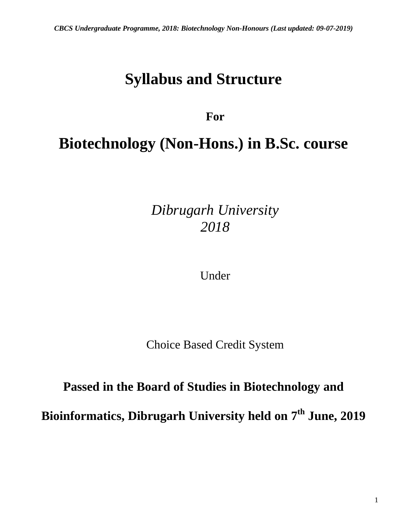# **Syllabus and Structure**

# **For**

# **Biotechnology (Non-Hons.) in B.Sc. course**

*Dibrugarh University 2018*

Under

Choice Based Credit System

# **Passed in the Board of Studies in Biotechnology and**

**Bioinformatics, Dibrugarh University held on 7 th June, 2019**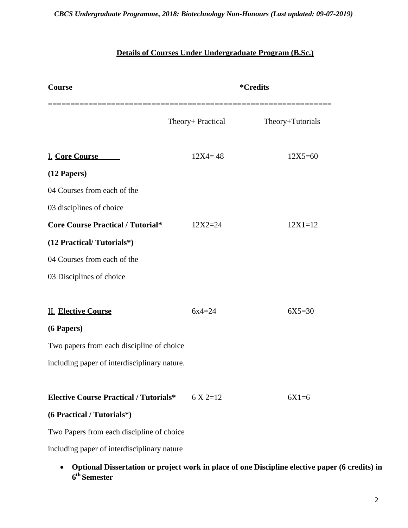#### *CBCS Undergraduate Programme, 2018: Biotechnology Non-Honours (Last updated: 09-07-2019)*

### **Details of Courses Under Undergraduate Program (B.Sc.)**

| Course                                        |                   | <i><b>*Credits</b></i>                                                                         |
|-----------------------------------------------|-------------------|------------------------------------------------------------------------------------------------|
|                                               | Theory+ Practical | Theory+Tutorials                                                                               |
| <b>I. Core Course</b>                         | $12X4 = 48$       | $12X5 = 60$                                                                                    |
| (12 Papers)                                   |                   |                                                                                                |
| 04 Courses from each of the                   |                   |                                                                                                |
| 03 disciplines of choice                      |                   |                                                                                                |
| <b>Core Course Practical / Tutorial*</b>      | $12X2 = 24$       | $12X1 = 12$                                                                                    |
| (12 Practical/Tutorials*)                     |                   |                                                                                                |
| 04 Courses from each of the                   |                   |                                                                                                |
| 03 Disciplines of choice                      |                   |                                                                                                |
|                                               |                   |                                                                                                |
| <b>II. Elective Course</b>                    | $6x4=24$          | $6X5 = 30$                                                                                     |
| (6 Papers)                                    |                   |                                                                                                |
| Two papers from each discipline of choice     |                   |                                                                                                |
| including paper of interdisciplinary nature.  |                   |                                                                                                |
| <b>Elective Course Practical / Tutorials*</b> | $6 \times 2 = 12$ | $6X1=6$                                                                                        |
| (6 Practical / Tutorials*)                    |                   |                                                                                                |
| Two Papers from each discipline of choice     |                   |                                                                                                |
| including paper of interdisciplinary nature   |                   |                                                                                                |
| $\bullet$<br>6 <sup>th</sup> Semester         |                   | Optional Dissertation or project work in place of one Discipline elective paper (6 credits) in |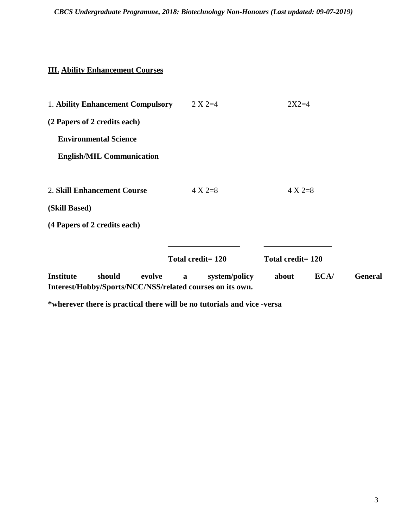#### **III. Ability Enhancement Courses**

| 1. Ability Enhancement Compulsory                                                                 | $2 X 2 = 4$        | $2X2=4$           |                |
|---------------------------------------------------------------------------------------------------|--------------------|-------------------|----------------|
| (2 Papers of 2 credits each)                                                                      |                    |                   |                |
| <b>Environmental Science</b>                                                                      |                    |                   |                |
| <b>English/MIL Communication</b>                                                                  |                    |                   |                |
|                                                                                                   |                    |                   |                |
| 2. Skill Enhancement Course                                                                       | $4 X 2=8$          | $4 X 2=8$         |                |
| (Skill Based)                                                                                     |                    |                   |                |
| (4 Papers of 2 credits each)                                                                      |                    |                   |                |
|                                                                                                   |                    |                   |                |
|                                                                                                   | Total credit= 120  | Total credit= 120 |                |
| <b>Institute</b><br>should<br>evolve<br>Interest/Hobby/Sports/NCC/NSS/related courses on its own. | system/policy<br>a | ECA/<br>about     | <b>General</b> |

**\*wherever there is practical there will be no tutorials and vice -versa**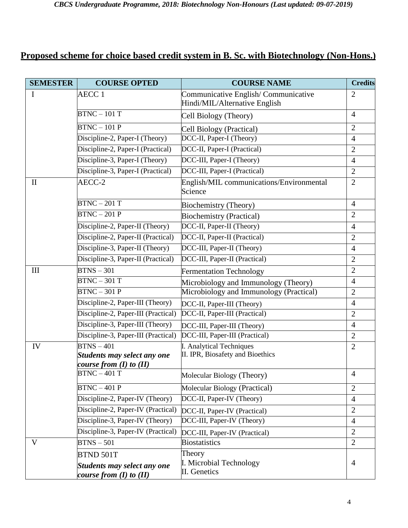## **Proposed scheme for choice based credit system in B. Sc. with Biotechnology (Non-Hons.)**

| <b>SEMESTER</b> | <b>COURSE OPTED</b>                                               | <b>COURSE NAME</b>                                                   | <b>Credits</b> |
|-----------------|-------------------------------------------------------------------|----------------------------------------------------------------------|----------------|
| I               | AECC <sub>1</sub>                                                 | Communicative English/Communicative<br>Hindi/MIL/Alternative English | $\overline{2}$ |
|                 | $BTNC - 101T$                                                     | Cell Biology (Theory)                                                | $\overline{4}$ |
|                 | $BTNC - 101P$                                                     | Cell Biology (Practical)                                             | $\overline{2}$ |
|                 | Discipline-2, Paper-I (Theory)                                    | DCC-II, Paper-I (Theory)                                             | $\overline{4}$ |
|                 | Discipline-2, Paper-I (Practical)                                 | DCC-II, Paper-I (Practical)                                          | $\overline{2}$ |
|                 | Discipline-3, Paper-I (Theory)                                    | DCC-III, Paper-I (Theory)                                            | $\overline{4}$ |
|                 | Discipline-3, Paper-I (Practical)                                 | DCC-III, Paper-I (Practical)                                         | $\overline{2}$ |
| $\mathbf{I}$    | AECC-2                                                            | English/MIL communications/Environmental<br>Science                  | $\overline{2}$ |
|                 | $BTNC - 201T$                                                     | Biochemistry (Theory)                                                | $\overline{4}$ |
|                 | $BTNC - 201P$                                                     | <b>Biochemistry (Practical)</b>                                      | $\overline{2}$ |
|                 | Discipline-2, Paper-II (Theory)                                   | DCC-II, Paper-II (Theory)                                            | $\overline{4}$ |
|                 | Discipline-2, Paper-II (Practical)                                | DCC-II, Paper-II (Practical)                                         | $\overline{2}$ |
|                 | Discipline-3, Paper-II (Theory)                                   | DCC-III, Paper-II (Theory)                                           | $\overline{4}$ |
|                 | Discipline-3, Paper-II (Practical)                                | DCC-III, Paper-II (Practical)                                        | $\overline{2}$ |
| III             | $B T NS - 301$                                                    | <b>Fermentation Technology</b>                                       | $\overline{2}$ |
|                 | $BTNC - 301T$                                                     | Microbiology and Immunology (Theory)                                 | $\overline{4}$ |
|                 | $BTNC - 301P$                                                     | Microbiology and Immunology (Practical)                              | $\mathbf{2}$   |
|                 | Discipline-2, Paper-III (Theory)                                  | DCC-II, Paper-III (Theory)                                           | $\overline{4}$ |
|                 | Discipline-2, Paper-III (Practical)                               | DCC-II, Paper-III (Practical)                                        | $\overline{2}$ |
|                 | Discipline-3, Paper-III (Theory)                                  | DCC-III, Paper-III (Theory)                                          | $\overline{4}$ |
|                 | Discipline-3, Paper-III (Practical)                               | DCC-III, Paper-III (Practical)                                       | $\overline{2}$ |
| IV              | $BTNS-401$                                                        | I. Analytical Techniques                                             | $\overline{2}$ |
|                 | <b>Students may select any one</b><br>course from (I) to (II)     | II. IPR, Biosafety and Bioethics                                     |                |
|                 | $BTNC - 401T$                                                     | Molecular Biology (Theory)                                           | $\overline{4}$ |
|                 | $BTNC - 401P$                                                     | Molecular Biology (Practical)                                        | $\overline{2}$ |
|                 | Discipline-2, Paper-IV (Theory)                                   | DCC-II, Paper-IV (Theory)                                            | $\overline{4}$ |
|                 | Discipline-2, Paper-IV (Practical)                                | DCC-II, Paper-IV (Practical)                                         | $\overline{2}$ |
|                 | Discipline-3, Paper-IV (Theory)                                   | DCC-III, Paper-IV (Theory)                                           | $\overline{4}$ |
|                 | Discipline-3, Paper-IV (Practical)                                | DCC-III, Paper-IV (Practical)                                        | $\overline{2}$ |
| V               | $B T NS - 501$                                                    | <b>Biostatistics</b>                                                 | $\overline{2}$ |
|                 | <b>BTND 501T</b>                                                  | Theory                                                               |                |
|                 | <b>Students may select any one</b><br>course from $(I)$ to $(II)$ | I. Microbial Technology<br>II. Genetics                              | $\overline{4}$ |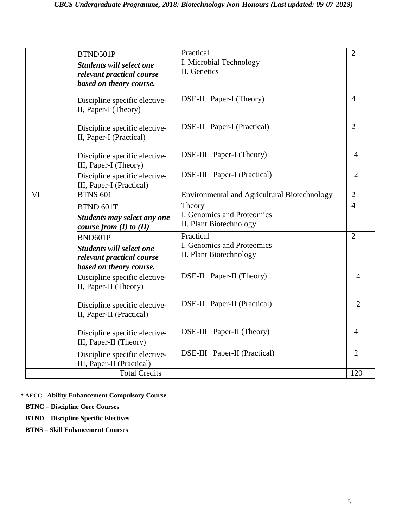|    | BTND501P<br><b>Students will select one</b><br>relevant practical course | Practical<br>I. Microbial Technology<br>II. Genetics  | $\mathbf{2}$   |
|----|--------------------------------------------------------------------------|-------------------------------------------------------|----------------|
|    | based on theory course.<br>Discipline specific elective-                 | <b>DSE-II</b> Paper-I (Theory)                        | $\overline{4}$ |
|    | II, Paper-I (Theory)                                                     |                                                       |                |
|    | Discipline specific elective-<br>II, Paper-I (Practical)                 | <b>DSE-II</b> Paper-I (Practical)                     | $\overline{2}$ |
|    | Discipline specific elective-<br>III, Paper-I (Theory)                   | DSE-III Paper-I (Theory)                              | $\overline{4}$ |
|    | Discipline specific elective-<br>III, Paper-I (Practical)                | DSE-III Paper-I (Practical)                           | $\overline{2}$ |
| VI | <b>BTNS 601</b>                                                          | <b>Environmental and Agricultural Biotechnology</b>   | $\overline{2}$ |
|    | BTND 601T                                                                | Theory                                                | $\overline{4}$ |
|    | <b>Students may select any one</b><br>course from $(I)$ to $(II)$        | I. Genomics and Proteomics<br>II. Plant Biotechnology |                |
|    | BND601P                                                                  | Practical                                             | $\mathfrak{2}$ |
|    | <b>Students will select one</b><br>relevant practical course             | I. Genomics and Proteomics<br>II. Plant Biotechnology |                |
|    | based on theory course.                                                  |                                                       |                |
|    | Discipline specific elective-<br>II, Paper-II (Theory)                   | DSE-II Paper-II (Theory)                              | $\overline{4}$ |
|    | Discipline specific elective-<br>II, Paper-II (Practical)                | <b>DSE-II</b> Paper-II (Practical)                    | $\overline{2}$ |
|    | Discipline specific elective-<br>III, Paper-II (Theory)                  | DSE-III Paper-II (Theory)                             | $\overline{4}$ |
|    | Discipline specific elective-<br>III, Paper-II (Practical)               | DSE-III Paper-II (Practical)                          | $\overline{2}$ |
|    | <b>Total Credits</b>                                                     |                                                       | 120            |

**\* AECC - Ability Enhancement Compulsory Course**

 **BTNC – Discipline Core Courses**

 **BTND – Discipline Specific Electives**

 **BTNS – Skill Enhancement Courses**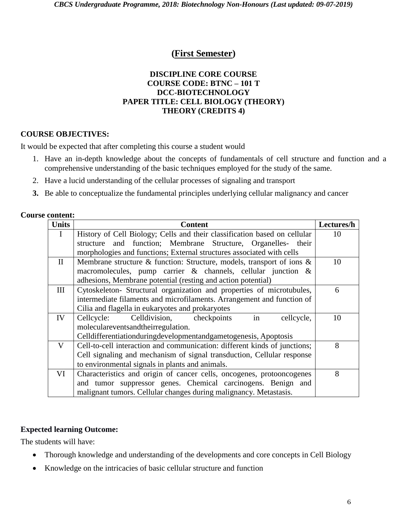#### **(First Semester)**

#### **DISCIPLINE CORE COURSE COURSE CODE: BTNC – 101 T DCC-BIOTECHNOLOGY PAPER TITLE: CELL BIOLOGY (THEORY) THEORY (CREDITS 4)**

#### **COURSE OBJECTIVES:**

It would be expected that after completing this course a student would

- 1. Have an in-depth knowledge about the concepts of fundamentals of cell structure and function and a comprehensive understanding of the basic techniques employed for the study of the same.
- 2. Have a lucid understanding of the cellular processes of signaling and transport
- **3.** Be able to conceptualize the fundamental principles underlying cellular malignancy and cancer

#### **Course content:**

| <b>Units</b> | <b>Content</b>                                                            | Lectures/h |
|--------------|---------------------------------------------------------------------------|------------|
| $\bf{I}$     | History of Cell Biology; Cells and their classification based on cellular | 10         |
|              | and function; Membrane Structure, Organelles- their<br>structure          |            |
|              | morphologies and functions; External structures associated with cells     |            |
| $\mathbf{I}$ | Membrane structure & function: Structure, models, transport of ions &     | 10         |
|              | macromolecules, pump carrier $\&$ channels, cellular junction $\&$        |            |
|              | adhesions, Membrane potential (resting and action potential)              |            |
| III          | Cytoskeleton- Structural organization and properties of microtubules,     | 6          |
|              | intermediate filaments and microfilaments. Arrangement and function of    |            |
|              | Cilia and flagella in eukaryotes and prokaryotes                          |            |
| IV           | in<br>Celldivision,<br>Cellcycle:<br>checkpoints<br>cellcycle,            | 10         |
|              | moleculareventsandtheirregulation.                                        |            |
|              | Celldifferentiationduringdevelopmentandgametogenesis, Apoptosis           |            |
| $\mathbf V$  | Cell-to-cell interaction and communication: different kinds of junctions; | 8          |
|              | Cell signaling and mechanism of signal transduction, Cellular response    |            |
|              | to environmental signals in plants and animals.                           |            |
| VI           | Characteristics and origin of cancer cells, oncogenes, protooncogenes     | 8          |
|              | and tumor suppressor genes. Chemical carcinogens. Benign and              |            |
|              | malignant tumors. Cellular changes during malignancy. Metastasis.         |            |

#### **Expected learning Outcome:**

The students will have:

- Thorough knowledge and understanding of the developments and core concepts in Cell Biology
- Knowledge on the intricacies of basic cellular structure and function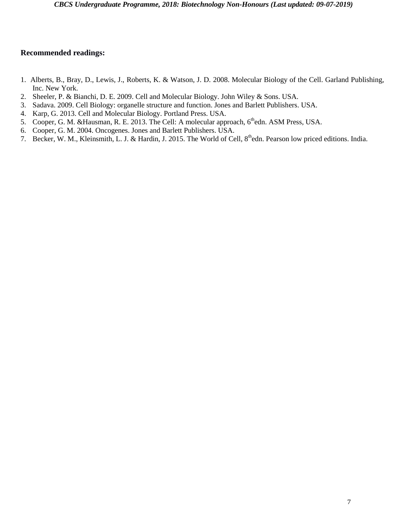- 1. Alberts, B., Bray, D., Lewis, J., Roberts, K. & Watson, J. D. 2008. Molecular Biology of the Cell. Garland Publishing, Inc. New York.
- 2. Sheeler, P. & Bianchi, D. E. 2009. Cell and Molecular Biology. John Wiley & Sons. USA.
- 3. Sadava. 2009. Cell Biology: organelle structure and function. Jones and Barlett Publishers. USA.
- 4. Karp, G. 2013. Cell and Molecular Biology. Portland Press. USA.
- 5. Cooper, G. M. &Hausman, R. E. 2013. The Cell: A molecular approach, 6<sup>th</sup>edn. ASM Press, USA.
- 6. Cooper, G. M. 2004. Oncogenes. Jones and Barlett Publishers. USA.
- 7. Becker, W. M., Kleinsmith, L. J. & Hardin, J. 2015. The World of Cell, 8<sup>th</sup>edn. Pearson low priced editions. India.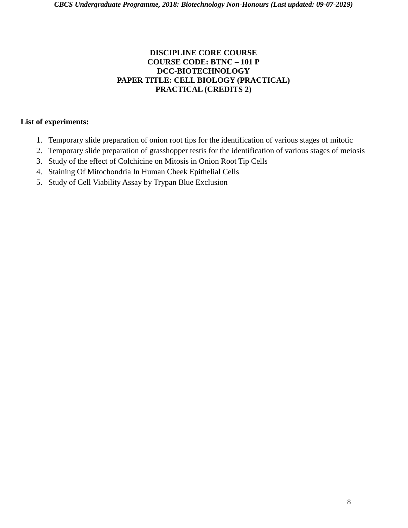#### **DISCIPLINE CORE COURSE COURSE CODE: BTNC – 101 P DCC-BIOTECHNOLOGY PAPER TITLE: CELL BIOLOGY (PRACTICAL) PRACTICAL (CREDITS 2)**

- 1. Temporary slide preparation of onion root tips for the identification of various stages of mitotic
- 2. Temporary slide preparation of grasshopper testis for the identification of various stages of meiosis
- 3. Study of the effect of Colchicine on Mitosis in Onion Root Tip Cells
- 4. Staining Of Mitochondria In Human Cheek Epithelial Cells
- 5. Study of Cell Viability Assay by Trypan Blue Exclusion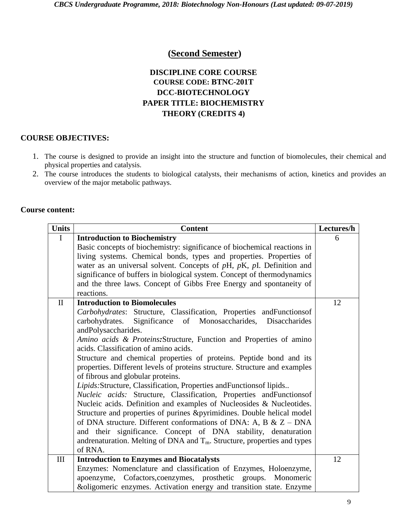#### **(Second Semester)**

#### **DISCIPLINE CORE COURSE COURSE CODE: BTNC-201T DCC-BIOTECHNOLOGY PAPER TITLE: BIOCHEMISTRY THEORY (CREDITS 4)**

#### **COURSE OBJECTIVES:**

- 1. The course is designed to provide an insight into the structure and function of biomolecules, their chemical and physical properties and catalysis.
- 2. The course introduces the students to biological catalysts, their mechanisms of action, kinetics and provides an overview of the major metabolic pathways.

#### **Course content:**

| <b>Units</b> | <b>Content</b>                                                                         | Lectures/h |
|--------------|----------------------------------------------------------------------------------------|------------|
| $\mathbf I$  | <b>Introduction to Biochemistry</b>                                                    | 6          |
|              | Basic concepts of biochemistry: significance of biochemical reactions in               |            |
|              | living systems. Chemical bonds, types and properties. Properties of                    |            |
|              | water as an universal solvent. Concepts of $pH$ , $pK$ , $pI$ . Definition and         |            |
|              | significance of buffers in biological system. Concept of thermodynamics                |            |
|              | and the three laws. Concept of Gibbs Free Energy and spontaneity of                    |            |
|              | reactions.                                                                             |            |
| $\mathbf{I}$ | <b>Introduction to Biomolecules</b>                                                    | 12         |
|              | Carbohydrates: Structure, Classification, Properties andFunctionsof                    |            |
|              | carbohydrates. Significance of Monosaccharides, Disaccharides                          |            |
|              | andPolysaccharides.                                                                    |            |
|              | Amino acids & Proteins: Structure, Function and Properties of amino                    |            |
|              | acids. Classification of amino acids.                                                  |            |
|              | Structure and chemical properties of proteins. Peptide bond and its                    |            |
|              | properties. Different levels of proteins structure. Structure and examples             |            |
|              | of fibrous and globular proteins.                                                      |            |
|              | Lipids: Structure, Classification, Properties and Functions of lipids                  |            |
|              | Nucleic acids: Structure, Classification, Properties andFunctions of                   |            |
|              | Nucleic acids. Definition and examples of Nucleosides & Nucleotides.                   |            |
|              | Structure and properties of purines & pyrimidines. Double helical model                |            |
|              | of DNA structure. Different conformations of DNA: A, B & $Z - DNA$                     |            |
|              | and their significance. Concept of DNA stability, denaturation                         |            |
|              | andrenaturation. Melting of DNA and $T_m$ . Structure, properties and types<br>of RNA. |            |
|              |                                                                                        |            |
| III          | <b>Introduction to Enzymes and Biocatalysts</b>                                        | 12         |
|              | Enzymes: Nomenclature and classification of Enzymes, Holoenzyme,                       |            |
|              | apoenzyme, Cofactors, coenzymes, prosthetic groups. Monomeric                          |            |
|              | &oligomeric enzymes. Activation energy and transition state. Enzyme                    |            |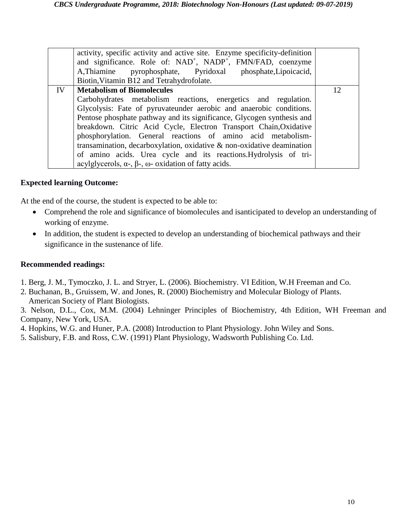|    | activity, specific activity and active site. Enzyme specificity-definition<br>and significance. Role of: NAD <sup>+</sup> , NADP <sup>+</sup> , FMN/FAD, coenzyme<br>A, Thiamine pyrophosphate, Pyridoxal phosphate, Lipoicacid,<br>Biotin, Vitamin B12 and Tetrahydrofolate.                                                                                                                                                                                                                                                                                                                                 |    |
|----|---------------------------------------------------------------------------------------------------------------------------------------------------------------------------------------------------------------------------------------------------------------------------------------------------------------------------------------------------------------------------------------------------------------------------------------------------------------------------------------------------------------------------------------------------------------------------------------------------------------|----|
| IV | <b>Metabolism of Biomolecules</b><br>Carbohydrates metabolism reactions, energetics and regulation.<br>Glycolysis: Fate of pyruvateunder aerobic and anaerobic conditions.<br>Pentose phosphate pathway and its significance, Glycogen synthesis and<br>breakdown. Citric Acid Cycle, Electron Transport Chain, Oxidative<br>phosphorylation. General reactions of amino acid metabolism-<br>transamination, decarboxylation, oxidative & non-oxidative deamination<br>of amino acids. Urea cycle and its reactions. Hydrolysis of tri-<br>acylglycerols, $\alpha$ -, $\beta$ -, ω- oxidation of fatty acids. | 12 |

#### **Expected learning Outcome:**

At the end of the course, the student is expected to be able to:

- Comprehend the role and significance of biomolecules and isanticipated to develop an understanding of working of enzyme.
- In addition, the student is expected to develop an understanding of biochemical pathways and their significance in the sustenance of life.

- 1. Berg, J. M., Tymoczko, J. L. and Stryer, L. (2006). Biochemistry. VI Edition, W.H Freeman and Co.
- 2. Buchanan, B., Gruissem, W. and Jones, R. (2000) Biochemistry and Molecular Biology of Plants. American Society of Plant Biologists.
- 3. Nelson, D.L., Cox, M.M. (2004) Lehninger Principles of Biochemistry, 4th Edition, WH Freeman and Company, New York, USA.
- 4. Hopkins, W.G. and Huner, P.A. (2008) Introduction to Plant Physiology. John Wiley and Sons.
- 5. Salisbury, F.B. and Ross, C.W. (1991) Plant Physiology, Wadsworth Publishing Co. Ltd.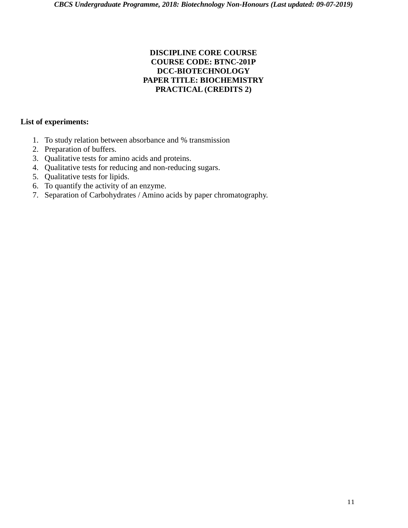#### **DISCIPLINE CORE COURSE COURSE CODE: BTNC-201P DCC-BIOTECHNOLOGY PAPER TITLE: BIOCHEMISTRY PRACTICAL (CREDITS 2)**

- 1. To study relation between absorbance and % transmission
- 2. Preparation of buffers.
- 3. Qualitative tests for amino acids and proteins.
- 4. Qualitative tests for reducing and non-reducing sugars.
- 5. Qualitative tests for lipids.
- 6. To quantify the activity of an enzyme.
- 7. Separation of Carbohydrates / Amino acids by paper chromatography.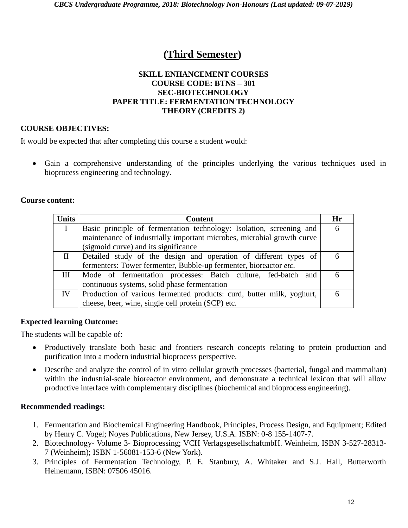# **(Third Semester)**

#### **SKILL ENHANCEMENT COURSES COURSE CODE: BTNS – 301 SEC-BIOTECHNOLOGY PAPER TITLE: FERMENTATION TECHNOLOGY THEORY (CREDITS 2)**

#### **COURSE OBJECTIVES:**

It would be expected that after completing this course a student would:

 Gain a comprehensive understanding of the principles underlying the various techniques used in bioprocess engineering and technology.

#### **Course content:**

| <b>Units</b> | <b>Content</b>                                                         | Hr |
|--------------|------------------------------------------------------------------------|----|
|              | Basic principle of fermentation technology: Isolation, screening and   | 6  |
|              | maintenance of industrially important microbes, microbial growth curve |    |
|              | (sigmoid curve) and its significance                                   |    |
| $\rm{II}$    | Detailed study of the design and operation of different types of       |    |
|              | fermenters: Tower fermenter, Bubble-up fermenter, bioreactor etc.      |    |
| Ш            | Mode of fermentation processes: Batch culture, fed-batch and           |    |
|              | continuous systems, solid phase fermentation                           |    |
| IV           | Production of various fermented products: curd, butter milk, yoghurt,  |    |
|              | cheese, beer, wine, single cell protein (SCP) etc.                     |    |

#### **Expected learning Outcome:**

The students will be capable of:

- Productively translate both basic and frontiers research concepts relating to protein production and purification into a modern industrial bioprocess perspective.
- Describe and analyze the control of in vitro cellular growth processes (bacterial, fungal and mammalian) within the industrial-scale bioreactor environment, and demonstrate a technical lexicon that will allow productive interface with complementary disciplines (biochemical and bioprocess engineering).

- 1. Fermentation and Biochemical Engineering Handbook, Principles, Process Design, and Equipment; Edited by Henry C. Vogel; Noyes Publications, New Jersey, U.S.A. ISBN: 0-8 155-1407-7.
- 2. Biotechnology- Volume 3- Bioprocessing; VCH VerlagsgesellschaftmbH. Weinheim, ISBN 3-527-28313- 7 (Weinheim); ISBN 1-56081-153-6 (New York).
- 3. Principles of Fermentation Technology, P. E. Stanbury, A. Whitaker and S.J. Hall, Butterworth Heinemann, ISBN: 07506 45016.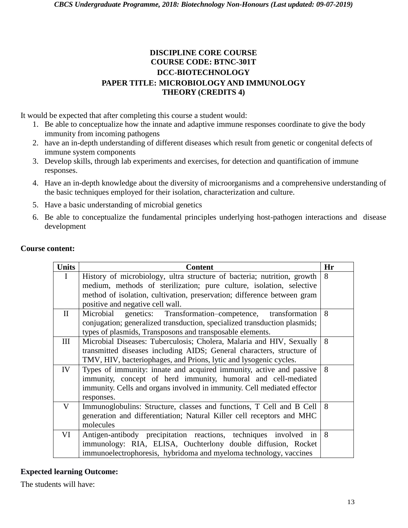#### **DISCIPLINE CORE COURSE COURSE CODE: BTNC-301T DCC-BIOTECHNOLOGY PAPER TITLE: MICROBIOLOGY AND IMMUNOLOGY THEORY (CREDITS 4)**

It would be expected that after completing this course a student would:

- 1. Be able to conceptualize how the innate and adaptive immune responses coordinate to give the body immunity from incoming pathogens
- 2. have an in-depth understanding of different diseases which result from genetic or congenital defects of immune system components
- 3. Develop skills, through lab experiments and exercises, for detection and quantification of immune responses.
- 4. Have an in-depth knowledge about the diversity of microorganisms and a comprehensive understanding of the basic techniques employed for their isolation, characterization and culture.
- 5. Have a basic understanding of microbial genetics
- 6. Be able to conceptualize the fundamental principles underlying host-pathogen interactions and disease development

| <b>Units</b> | <b>Content</b>                                                            | Hr |
|--------------|---------------------------------------------------------------------------|----|
| I            | History of microbiology, ultra structure of bacteria; nutrition, growth   | 8  |
|              | medium, methods of sterilization; pure culture, isolation, selective      |    |
|              | method of isolation, cultivation, preservation; difference between gram   |    |
|              | positive and negative cell wall.                                          |    |
| $\rm{II}$    | genetics: Transformation-competence, transformation<br>Microbial          | 8  |
|              | conjugation; generalized transduction, specialized transduction plasmids; |    |
|              | types of plasmids, Transposons and transposable elements.                 |    |
| Ш            | Microbial Diseases: Tuberculosis; Cholera, Malaria and HIV, Sexually      | 8  |
|              | transmitted diseases including AIDS; General characters, structure of     |    |
|              | TMV, HIV, bacteriophages, and Prions, lytic and lysogenic cycles.         |    |
| IV           | Types of immunity: innate and acquired immunity, active and passive       | 8  |
|              | immunity, concept of herd immunity, humoral and cell-mediated             |    |
|              | immunity. Cells and organs involved in immunity. Cell mediated effector   |    |
|              | responses.                                                                |    |
| V            | Immunoglobulins: Structure, classes and functions, T Cell and B Cell      | 8  |
|              | generation and differentiation; Natural Killer cell receptors and MHC     |    |
|              | molecules                                                                 |    |
| VI           | Antigen-antibody precipitation reactions, techniques involved in          | 8  |
|              | immunology: RIA, ELISA, Ouchterlony double diffusion, Rocket              |    |
|              | immunoelectrophoresis, hybridoma and myeloma technology, vaccines         |    |

#### **Course content:**

#### **Expected learning Outcome:**

The students will have: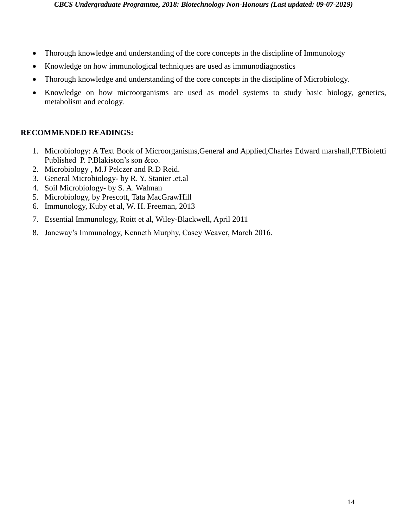- Thorough knowledge and understanding of the core concepts in the discipline of Immunology
- Knowledge on how immunological techniques are used as immunodiagnostics
- Thorough knowledge and understanding of the core concepts in the discipline of Microbiology.
- Knowledge on how microorganisms are used as model systems to study basic biology, genetics, metabolism and ecology.

#### **RECOMMENDED READINGS:**

- 1. Microbiology: A Text Book of Microorganisms,General and Applied,Charles Edward marshall,F.TBioletti Published P. P.Blakiston's son &co.
- 2. Microbiology , M.J Pelczer and R.D Reid.
- 3. General Microbiology- by R. Y. Stanier .et.al
- 4. Soil Microbiology- by S. A. Walman
- 5. Microbiology, by Prescott, Tata MacGrawHill
- 6. Immunology, Kuby et al, W. H. Freeman, 2013
- 7. Essential Immunology, Roitt et al, Wiley-Blackwell, April 2011
- 8. Janeway's Immunology, Kenneth Murphy, Casey Weaver, March 2016.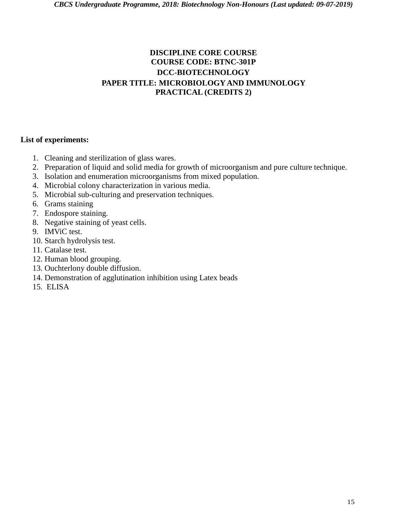#### **DISCIPLINE CORE COURSE COURSE CODE: BTNC-301P DCC-BIOTECHNOLOGY PAPER TITLE: MICROBIOLOGY AND IMMUNOLOGY PRACTICAL (CREDITS 2)**

- 1. Cleaning and sterilization of glass wares.
- 2. Preparation of liquid and solid media for growth of microorganism and pure culture technique.
- 3. Isolation and enumeration microorganisms from mixed population.
- 4. Microbial colony characterization in various media.
- 5. Microbial sub-culturing and preservation techniques.
- 6. Grams staining
- 7. Endospore staining.
- 8. Negative staining of yeast cells.
- 9. IMViC test.
- 10. Starch hydrolysis test.
- 11. Catalase test.
- 12. Human blood grouping.
- 13. Ouchterlony double diffusion.
- 14. Demonstration of agglutination inhibition using Latex beads
- 15. ELISA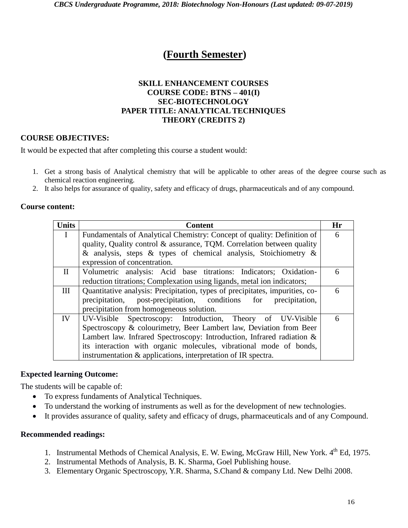# **(Fourth Semester)**

#### **SKILL ENHANCEMENT COURSES COURSE CODE: BTNS – 401(I) SEC-BIOTECHNOLOGY PAPER TITLE: ANALYTICAL TECHNIQUES THEORY (CREDITS 2)**

#### **COURSE OBJECTIVES:**

It would be expected that after completing this course a student would:

- 1. Get a strong basis of Analytical chemistry that will be applicable to other areas of the degree course such as chemical reaction engineering.
- 2. It also helps for assurance of quality, safety and efficacy of drugs, pharmaceuticals and of any compound.

#### **Course content:**

| <b>Units</b> | <b>Content</b>                                                               | Hr |
|--------------|------------------------------------------------------------------------------|----|
| L            | Fundamentals of Analytical Chemistry: Concept of quality: Definition of      | 6  |
|              | quality, Quality control & assurance, TQM. Correlation between quality       |    |
|              | & analysis, steps & types of chemical analysis, Stoichiometry &              |    |
|              | expression of concentration.                                                 |    |
| $\mathbf{I}$ | Volumetric analysis: Acid base titrations: Indicators; Oxidation-            | 6  |
|              | reduction titrations; Complexation using ligands, metal ion indicators;      |    |
| Ш            | Quantitative analysis: Precipitation, types of precipitates, impurities, co- | 6  |
|              | precipitation, post-precipitation, conditions for<br>precipitation,          |    |
|              | precipitation from homogeneous solution.                                     |    |
| IV           | UV-Visible Spectroscopy: Introduction, Theory of UV-Visible                  | 6  |
|              | Spectroscopy & colourimetry, Beer Lambert law, Deviation from Beer           |    |
|              | Lambert law. Infrared Spectroscopy: Introduction, Infrared radiation &       |    |
|              | its interaction with organic molecules, vibrational mode of bonds,           |    |
|              | instrumentation & applications, interpretation of IR spectra.                |    |

#### **Expected learning Outcome:**

The students will be capable of:

- To express fundaments of Analytical Techniques.
- To understand the working of instruments as well as for the development of new technologies.
- It provides assurance of quality, safety and efficacy of drugs, pharmaceuticals and of any Compound.

- 1. Instrumental Methods of Chemical Analysis, E. W. Ewing, McGraw Hill, New York. 4<sup>th</sup> Ed, 1975.
- 2. Instrumental Methods of Analysis, B. K. Sharma, Goel Publishing house.
- 3. Elementary Organic Spectroscopy, Y.R. Sharma, S.Chand & company Ltd. New Delhi 2008.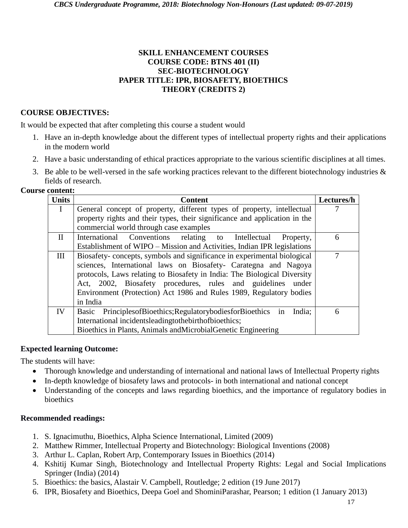#### **SKILL ENHANCEMENT COURSES COURSE CODE: BTNS 401 (II) SEC-BIOTECHNOLOGY PAPER TITLE: IPR, BIOSAFETY, BIOETHICS THEORY (CREDITS 2)**

#### **COURSE OBJECTIVES:**

It would be expected that after completing this course a student would

- 1. Have an in-depth knowledge about the different types of intellectual property rights and their applications in the modern world
- 2. Have a basic understanding of ethical practices appropriate to the various scientific disciplines at all times.
- 3. Be able to be well-versed in the safe working practices relevant to the different biotechnology industries  $\&$ fields of research.

#### **Course content:**

| <b>Units</b> | <b>Content</b>                                                                 | Lectures/h |
|--------------|--------------------------------------------------------------------------------|------------|
| T            | General concept of property, different types of property, intellectual         |            |
|              | property rights and their types, their significance and application in the     |            |
|              | commercial world through case examples                                         |            |
| $\mathbf{I}$ | International Conventions relating to Intellectual<br>Property,                | 6          |
|              | Establishment of WIPO – Mission and Activities, Indian IPR legislations        |            |
| Ш            | Biosafety-concepts, symbols and significance in experimental biological        | 7          |
|              | sciences, International laws on Biosafety- Carategna and Nagoya                |            |
|              | protocols, Laws relating to Biosafety in India: The Biological Diversity       |            |
|              | Act, 2002, Biosafety procedures, rules and guidelines under                    |            |
|              | Environment (Protection) Act 1986 and Rules 1989, Regulatory bodies            |            |
|              | in India                                                                       |            |
| IV           | Basic Principles of Bioethics; Regulatory bodies for Bioethics<br>in<br>India; | 6          |
|              | International incidentsleadingtothebirthofbioethics;                           |            |
|              | Bioethics in Plants, Animals and Microbial Genetic Engineering                 |            |

#### **Expected learning Outcome:**

The students will have:

- Thorough knowledge and understanding of international and national laws of Intellectual Property rights
- In-depth knowledge of biosafety laws and protocols- in both international and national concept
- Understanding of the concepts and laws regarding bioethics, and the importance of regulatory bodies in bioethics

- 1. S. Ignacimuthu, Bioethics, Alpha Science International, Limited (2009)
- 2. Matthew Rimmer, Intellectual Property and Biotechnology: Biological Inventions (2008)
- 3. Arthur L. Caplan, Robert Arp, Contemporary Issues in Bioethics (2014)
- 4. Kshitij Kumar Singh, Biotechnology and Intellectual Property Rights: Legal and Social Implications Springer (India) (2014)
- 5. Bioethics: the basics, Alastair V. Campbell, Routledge; 2 edition (19 June 2017)
- 6. IPR, Biosafety and Bioethics, Deepa Goel and ShominiParashar, Pearson; 1 edition (1 January 2013)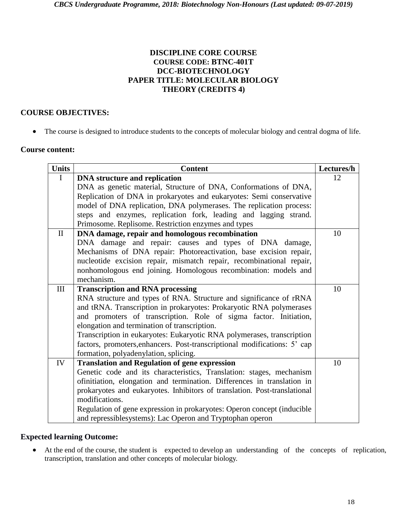#### **DISCIPLINE CORE COURSE COURSE CODE: BTNC-401T DCC-BIOTECHNOLOGY PAPER TITLE: MOLECULAR BIOLOGY THEORY (CREDITS 4)**

#### **COURSE OBJECTIVES:**

The course is designed to introduce students to the concepts of molecular biology and central dogma of life.

#### **Course content:**

| <b>Units</b> | <b>Content</b>                                                            | Lectures/h |
|--------------|---------------------------------------------------------------------------|------------|
| $\mathbf I$  | <b>DNA</b> structure and replication                                      | 12         |
|              | DNA as genetic material, Structure of DNA, Conformations of DNA,          |            |
|              | Replication of DNA in prokaryotes and eukaryotes: Semi conservative       |            |
|              | model of DNA replication, DNA polymerases. The replication process:       |            |
|              | steps and enzymes, replication fork, leading and lagging strand.          |            |
|              | Primosome. Replisome. Restriction enzymes and types                       |            |
| $\mathbf{I}$ | DNA damage, repair and homologous recombination                           | 10         |
|              | DNA damage and repair: causes and types of DNA damage,                    |            |
|              | Mechanisms of DNA repair: Photoreactivation, base excision repair,        |            |
|              | nucleotide excision repair, mismatch repair, recombinational repair,      |            |
|              | nonhomologous end joining. Homologous recombination: models and           |            |
|              | mechanism.                                                                |            |
| III          | <b>Transcription and RNA processing</b>                                   | 10         |
|              | RNA structure and types of RNA. Structure and significance of rRNA        |            |
|              | and tRNA. Transcription in prokaryotes: Prokaryotic RNA polymerases       |            |
|              | and promoters of transcription. Role of sigma factor. Initiation,         |            |
|              | elongation and termination of transcription.                              |            |
|              | Transcription in eukaryotes: Eukaryotic RNA polymerases, transcription    |            |
|              | factors, promoters, enhancers. Post-transcriptional modifications: 5' cap |            |
|              | formation, polyadenylation, splicing.                                     |            |
| IV           | <b>Translation and Regulation of gene expression</b>                      | 10         |
|              | Genetic code and its characteristics, Translation: stages, mechanism      |            |
|              | ofinitiation, elongation and termination. Differences in translation in   |            |
|              | prokaryotes and eukaryotes. Inhibitors of translation. Post-translational |            |
|              | modifications.                                                            |            |
|              | Regulation of gene expression in prokaryotes: Operon concept (inducible   |            |
|              | and repressiblesystems): Lac Operon and Tryptophan operon                 |            |

#### **Expected learning Outcome:**

 At the end of the course, the student is expected to develop an understanding of the concepts of replication, transcription, translation and other concepts of molecular biology.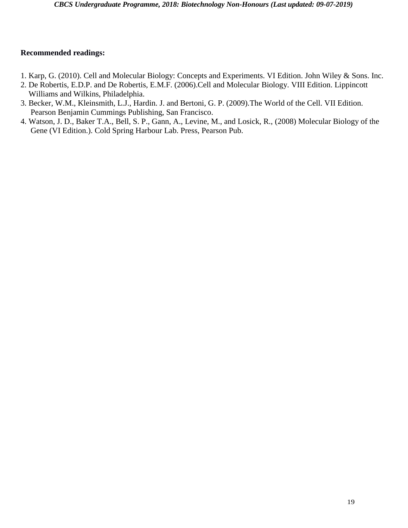- 1. Karp, G. (2010). Cell and Molecular Biology: Concepts and Experiments. VI Edition. John Wiley & Sons. Inc.
- 2. De Robertis, E.D.P. and De Robertis, E.M.F. (2006).Cell and Molecular Biology. VIII Edition. Lippincott Williams and Wilkins, Philadelphia.
- 3. Becker, W.M., Kleinsmith, L.J., Hardin. J. and Bertoni, G. P. (2009).The World of the Cell. VII Edition. Pearson Benjamin Cummings Publishing, San Francisco.
- 4. Watson, J. D., Baker T.A., Bell, S. P., Gann, A., Levine, M., and Losick, R., (2008) Molecular Biology of the Gene (VI Edition.). Cold Spring Harbour Lab. Press, Pearson Pub.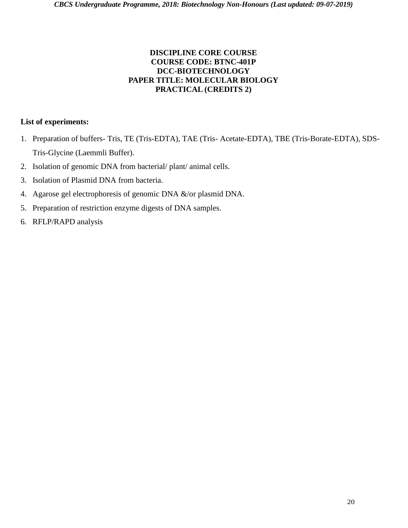#### **DISCIPLINE CORE COURSE COURSE CODE: BTNC-401P DCC-BIOTECHNOLOGY PAPER TITLE: MOLECULAR BIOLOGY PRACTICAL (CREDITS 2)**

- 1. Preparation of buffers- Tris, TE (Tris-EDTA), TAE (Tris- Acetate-EDTA), TBE (Tris-Borate-EDTA), SDS-Tris-Glycine (Laemmli Buffer).
- 2. Isolation of genomic DNA from bacterial/ plant/ animal cells.
- 3. Isolation of Plasmid DNA from bacteria.
- 4. Agarose gel electrophoresis of genomic DNA &/or plasmid DNA.
- 5. Preparation of restriction enzyme digests of DNA samples.
- 6. RFLP/RAPD analysis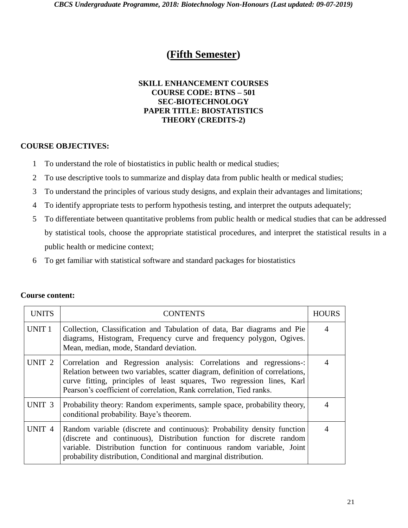## **(Fifth Semester)**

#### **SKILL ENHANCEMENT COURSES COURSE CODE: BTNS – 501 SEC-BIOTECHNOLOGY PAPER TITLE: BIOSTATISTICS THEORY (CREDITS-2)**

#### **COURSE OBJECTIVES:**

- 1 To understand the role of biostatistics in public health or medical studies;
- 2 To use descriptive tools to summarize and display data from public health or medical studies;
- 3 To understand the principles of various study designs, and explain their advantages and limitations;
- 4 To identify appropriate tests to perform hypothesis testing, and interpret the outputs adequately;
- 5 To differentiate between quantitative problems from public health or medical studies that can be addressed by statistical tools, choose the appropriate statistical procedures, and interpret the statistical results in a public health or medicine context;
- 6 To get familiar with statistical software and standard packages for biostatistics

| <b>UNITS</b>      | <b>CONTENTS</b>                                                                                                                                                                                                                                                                                      | <b>HOURS</b>   |
|-------------------|------------------------------------------------------------------------------------------------------------------------------------------------------------------------------------------------------------------------------------------------------------------------------------------------------|----------------|
| UNIT <sub>1</sub> | Collection, Classification and Tabulation of data, Bar diagrams and Pie<br>diagrams, Histogram, Frequency curve and frequency polygon, Ogives.<br>Mean, median, mode, Standard deviation.                                                                                                            | $\overline{4}$ |
| UNIT <sub>2</sub> | Correlation and Regression analysis: Correlations and regressions-:<br>Relation between two variables, scatter diagram, definition of correlations,<br>curve fitting, principles of least squares, Two regression lines, Karl<br>Pearson's coefficient of correlation, Rank correlation, Tied ranks. | $\overline{4}$ |
| UNIT <sub>3</sub> | Probability theory: Random experiments, sample space, probability theory,<br>conditional probability. Baye's theorem.                                                                                                                                                                                | 4              |
| UNIT <sub>4</sub> | Random variable (discrete and continuous): Probability density function<br>(discrete and continuous), Distribution function for discrete random<br>variable. Distribution function for continuous random variable, Joint<br>probability distribution, Conditional and marginal distribution.         | 4              |

#### **Course content:**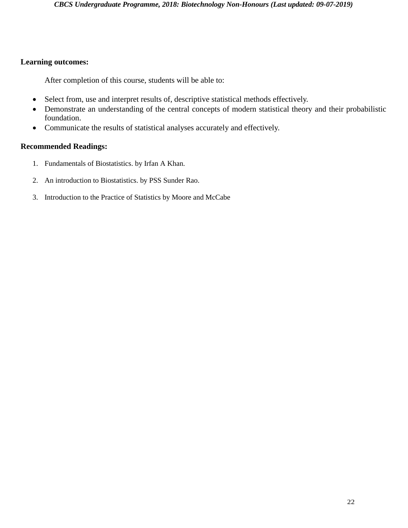#### **Learning outcomes:**

After completion of this course, students will be able to:

- Select from, use and interpret results of, descriptive statistical methods effectively.
- Demonstrate an understanding of the central concepts of modern statistical theory and their probabilistic foundation.
- Communicate the results of statistical analyses accurately and effectively.

- 1. Fundamentals of Biostatistics. by Irfan A Khan.
- 2. An introduction to Biostatistics. by PSS Sunder Rao.
- 3. Introduction to the Practice of Statistics by Moore and McCabe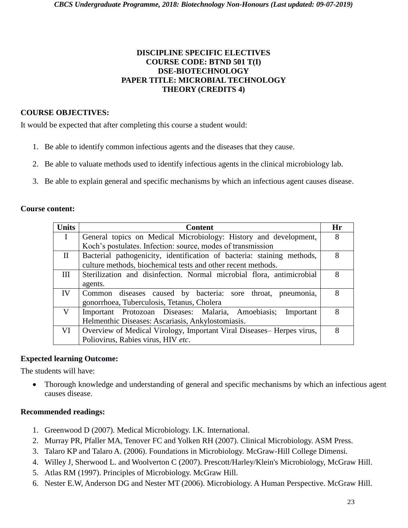#### **DISCIPLINE SPECIFIC ELECTIVES COURSE CODE: BTND 501 T(I) DSE-BIOTECHNOLOGY PAPER TITLE: MICROBIAL TECHNOLOGY THEORY (CREDITS 4)**

#### **COURSE OBJECTIVES:**

It would be expected that after completing this course a student would:

- 1. Be able to identify common infectious agents and the diseases that they cause.
- 2. Be able to valuate methods used to identify infectious agents in the clinical microbiology lab.
- 3. Be able to explain general and specific mechanisms by which an infectious agent causes disease.

#### **Course content:**

| <b>Units</b> | <b>Content</b>                                                         | Hr |
|--------------|------------------------------------------------------------------------|----|
| $\mathbf{I}$ | General topics on Medical Microbiology: History and development,       | 8  |
|              | Koch's postulates. Infection: source, modes of transmission            |    |
| $\rm{II}$    | Bacterial pathogenicity, identification of bacteria: staining methods, | 8  |
|              | culture methods, biochemical tests and other recent methods.           |    |
| Ш            | Sterilization and disinfection. Normal microbial flora, antimicrobial  | 8  |
|              | agents.                                                                |    |
| IV           | Common diseases caused by bacteria: sore throat, pneumonia,            | 8  |
|              | gonorrhoea, Tuberculosis, Tetanus, Cholera                             |    |
| V            | Important Protozoan Diseases: Malaria, Amoebiasis;<br>Important        | 8  |
|              | Helmenthic Diseases: Ascariasis, Ankylostomiasis.                      |    |
| VI           | Overview of Medical Virology, Important Viral Diseases– Herpes virus,  | 8  |
|              | Poliovirus, Rabies virus, HIV etc.                                     |    |

#### **Expected learning Outcome:**

The students will have:

 Thorough knowledge and understanding of general and specific mechanisms by which an infectious agent causes disease.

- 1. Greenwood D (2007). Medical Microbiology. I.K. International.
- 2. Murray PR, Pfaller MA, Tenover FC and Yolken RH (2007). Clinical Microbiology. ASM Press.
- 3. Talaro KP and Talaro A. (2006). Foundations in Microbiology. McGraw-Hill College Dimensi.
- 4. Willey J, Sherwood L. and Woolverton C (2007). Prescott/Harley/Klein's Microbiology, McGraw Hill.
- 5. Atlas RM (1997). Principles of Microbiology. McGraw Hill.
- 6. Nester E.W, Anderson DG and Nester MT (2006). Microbiology. A Human Perspective. McGraw Hill.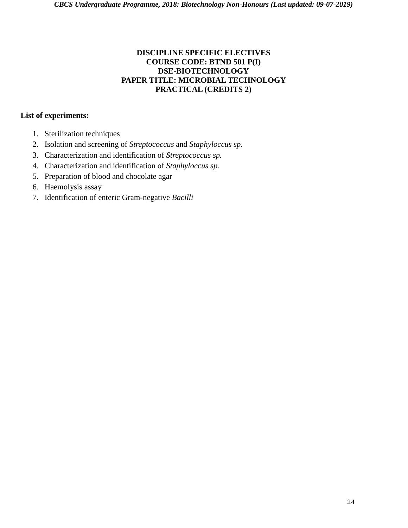#### **DISCIPLINE SPECIFIC ELECTIVES COURSE CODE: BTND 501 P(I) DSE-BIOTECHNOLOGY PAPER TITLE: MICROBIAL TECHNOLOGY PRACTICAL (CREDITS 2)**

- 1. Sterilization techniques
- 2. Isolation and screening of *Streptococcus* and *Staphyloccus sp.*
- 3. Characterization and identification of *Streptococcus sp.*
- 4. Characterization and identification of *Staphyloccus sp.*
- 5. Preparation of blood and chocolate agar
- 6. Haemolysis assay
- 7. Identification of enteric Gram-negative *Bacilli*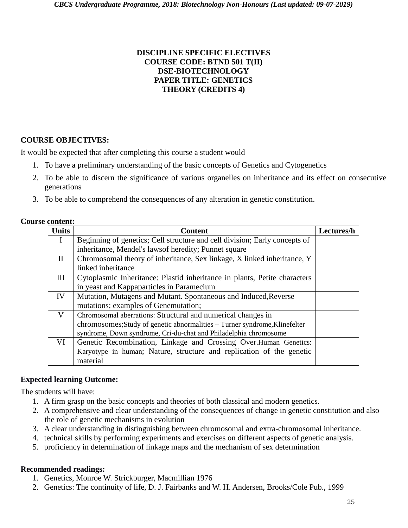#### **DISCIPLINE SPECIFIC ELECTIVES COURSE CODE: BTND 501 T(II) DSE-BIOTECHNOLOGY PAPER TITLE: GENETICS THEORY (CREDITS 4)**

#### **COURSE OBJECTIVES:**

It would be expected that after completing this course a student would

- 1. To have a preliminary understanding of the basic concepts of Genetics and Cytogenetics
- 2. To be able to discern the significance of various organelles on inheritance and its effect on consecutive generations
- 3. To be able to comprehend the consequences of any alteration in genetic constitution.

| <b>Course content:</b> |
|------------------------|
|                        |

| <b>Units</b> | <b>Content</b>                                                             | Lectures/h |
|--------------|----------------------------------------------------------------------------|------------|
| $\mathbf{I}$ | Beginning of genetics; Cell structure and cell division; Early concepts of |            |
|              | inheritance, Mendel's laws of heredity; Punnet square                      |            |
| $\mathbf H$  | Chromosomal theory of inheritance, Sex linkage, X linked inheritance, Y    |            |
|              | linked inheritance                                                         |            |
| III          | Cytoplasmic Inheritance: Plastid inheritance in plants, Petite characters  |            |
|              | in yeast and Kappaparticles in Paramecium                                  |            |
| IV           | Mutation, Mutagens and Mutant. Spontaneous and Induced, Reverse            |            |
|              | mutations; examples of Genemutation;                                       |            |
| V            | Chromosomal aberrations: Structural and numerical changes in               |            |
|              | chromosomes; Study of genetic abnormalities - Turner syndrome, Klinefelter |            |
|              | syndrome, Down syndrome, Cri-du-chat and Philadelphia chromosome           |            |
| VI           | Genetic Recombination, Linkage and Crossing Over. Human Genetics:          |            |
|              | Karyotype in human; Nature, structure and replication of the genetic       |            |
|              | material                                                                   |            |

#### **Expected learning Outcome:**

The students will have:

- 1. A firm grasp on the basic concepts and theories of both classical and modern genetics.
- 2. A comprehensive and clear understanding of the consequences of change in genetic constitution and also the role of genetic mechanisms in evolution
- 3. A clear understanding in distinguishing between chromosomal and extra-chromosomal inheritance.
- 4. technical skills by performing experiments and exercises on different aspects of genetic analysis.
- 5. proficiency in determination of linkage maps and the mechanism of sex determination

- 1. Genetics, Monroe W. Strickburger, Macmillian 1976
- 2. Genetics: The continuity of life, D. J. Fairbanks and W. H. Andersen, Brooks/Cole Pub., 1999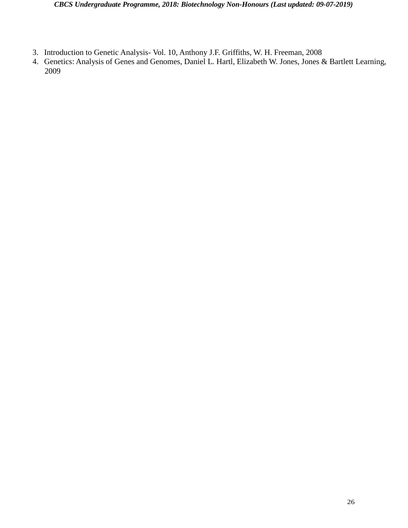- 3. Introduction to Genetic Analysis- Vol. 10, Anthony J.F. Griffiths, W. H. Freeman, 2008
- 4. Genetics: Analysis of Genes and Genomes, Daniel L. Hartl, Elizabeth W. Jones, Jones & Bartlett Learning, 2009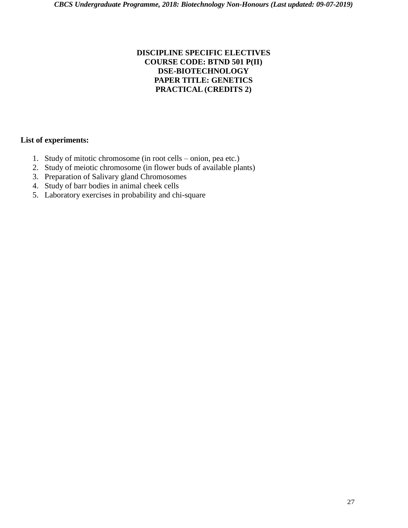#### **DISCIPLINE SPECIFIC ELECTIVES COURSE CODE: BTND 501 P(II) DSE-BIOTECHNOLOGY PAPER TITLE: GENETICS PRACTICAL (CREDITS 2)**

- 1. Study of mitotic chromosome (in root cells onion, pea etc.)
- 2. Study of meiotic chromosome (in flower buds of available plants)
- 3. Preparation of Salivary gland Chromosomes
- 4. Study of barr bodies in animal cheek cells
- 5. Laboratory exercises in probability and chi-square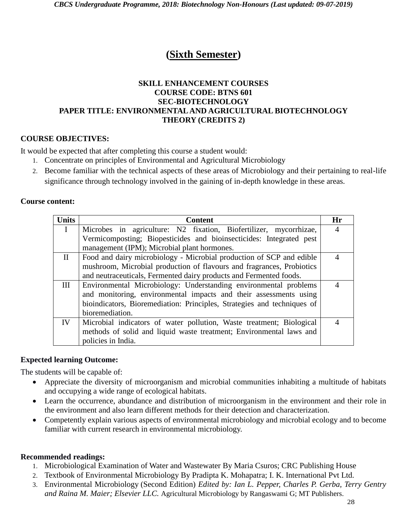# **(Sixth Semester)**

#### **SKILL ENHANCEMENT COURSES COURSE CODE: BTNS 601 SEC-BIOTECHNOLOGY PAPER TITLE: ENVIRONMENTAL AND AGRICULTURAL BIOTECHNOLOGY THEORY (CREDITS 2)**

#### **COURSE OBJECTIVES:**

It would be expected that after completing this course a student would:

- 1. Concentrate on principles of Environmental and Agricultural Microbiology
- 2. Become familiar with the technical aspects of these areas of Microbiology and their pertaining to real-life significance through technology involved in the gaining of in-depth knowledge in these areas.

#### **Course content:**

| <b>Units</b> | <b>Content</b>                                                          | Hr             |
|--------------|-------------------------------------------------------------------------|----------------|
| $\mathbf{I}$ | Microbes in agriculture: N2 fixation, Biofertilizer, mycorrhizae,       | $\overline{4}$ |
|              | Vermicomposting; Biopesticides and bioinsecticides: Integrated pest     |                |
|              | management (IPM); Microbial plant hormones.                             |                |
| $\mathbf{H}$ | Food and dairy microbiology - Microbial production of SCP and edible    |                |
|              | mushroom, Microbial production of flavours and fragrances, Probiotics   |                |
|              | and neutraceuticals, Fermented dairy products and Fermented foods.      |                |
| $\mathbf{H}$ | Environmental Microbiology: Understanding environmental problems        | $\overline{4}$ |
|              | and monitoring, environmental impacts and their assessments using       |                |
|              | bioindicators, Bioremediation: Principles, Strategies and techniques of |                |
|              | bioremediation.                                                         |                |
| IV           | Microbial indicators of water pollution, Waste treatment; Biological    |                |
|              | methods of solid and liquid waste treatment; Environmental laws and     |                |
|              | policies in India.                                                      |                |

#### **Expected learning Outcome:**

The students will be capable of:

- Appreciate the diversity of microorganism and microbial communities inhabiting a multitude of habitats and occupying a wide range of ecological habitats.
- Learn the occurrence, abundance and distribution of microorganism in the environment and their role in the environment and also learn different methods for their detection and characterization.
- Competently explain various aspects of environmental microbiology and microbial ecology and to become familiar with current research in environmental microbiology.

- 1. Microbiological Examination of Water and Wastewater By Maria Csuros; CRC Publishing House
- 2. Textbook of Environmental Microbiology By Pradipta K. Mohapatra; I. K. International Pvt Ltd.
- 3. Environmental Microbiology (Second Edition) *Edited by: Ian L. Pepper, Charles P. Gerba, Terry Gentry and Raina M. Maier; Elsevier LLC.* Agricultural Microbiology by Rangaswami G; MT Publishers.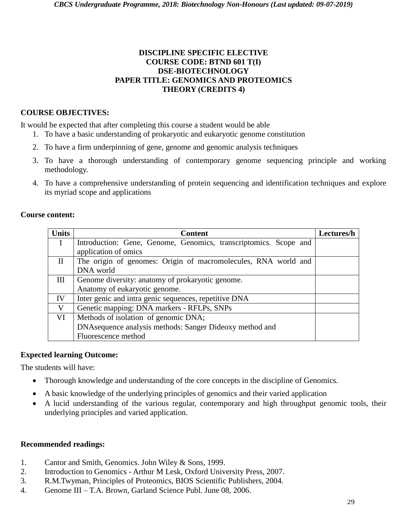#### **DISCIPLINE SPECIFIC ELECTIVE COURSE CODE: BTND 601 T(I) DSE-BIOTECHNOLOGY PAPER TITLE: GENOMICS AND PROTEOMICS THEORY (CREDITS 4)**

#### **COURSE OBJECTIVES:**

It would be expected that after completing this course a student would be able

- 1. To have a basic understanding of prokaryotic and eukaryotic genome constitution
- 2. To have a firm underpinning of gene, genome and genomic analysis techniques
- 3. To have a thorough understanding of contemporary genome sequencing principle and working methodology.
- 4. To have a comprehensive understanding of protein sequencing and identification techniques and explore its myriad scope and applications

#### **Course content:**

| <b>Units</b> | <b>Content</b>                                                   | Lectures/h |
|--------------|------------------------------------------------------------------|------------|
| $\mathbf{I}$ | Introduction: Gene, Genome, Genomics, transcriptomics. Scope and |            |
|              | application of omics                                             |            |
| $\mathbf{I}$ | The origin of genomes: Origin of macromolecules, RNA world and   |            |
|              | DNA world                                                        |            |
| Ш            | Genome diversity: anatomy of prokaryotic genome.                 |            |
|              | Anatomy of eukaryotic genome.                                    |            |
| IV           | Inter genic and intra genic sequences, repetitive DNA            |            |
| V            | Genetic mapping: DNA markers - RFLPs, SNPs                       |            |
| VI           | Methods of isolation of genomic DNA;                             |            |
|              | DNA sequence analysis methods: Sanger Dideoxy method and         |            |
|              | Fluorescence method                                              |            |

#### **Expected learning Outcome:**

The students will have:

- Thorough knowledge and understanding of the core concepts in the discipline of Genomics.
- A basic knowledge of the underlying principles of genomics and their varied application
- A lucid understanding of the various regular, contemporary and high throughput genomic tools, their underlying principles and varied application.

- 1. Cantor and Smith, Genomics. John Wiley & Sons, 1999.
- 2. Introduction to Genomics Arthur M Lesk, Oxford University Press, 2007.
- 3. R.M.Twyman, Principles of Proteomics, BIOS Scientific Publishers, 2004.
- 4. Genome III T.A. Brown, Garland Science Publ. June 08, 2006.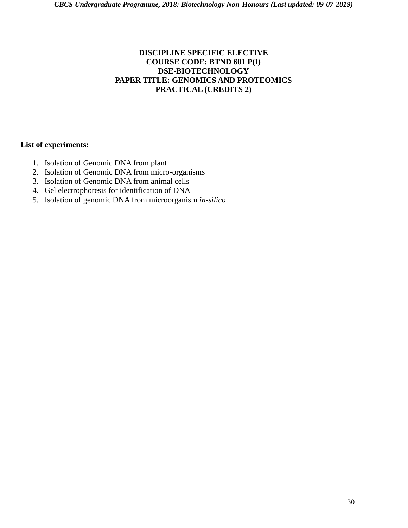#### **DISCIPLINE SPECIFIC ELECTIVE COURSE CODE: BTND 601 P(I) DSE-BIOTECHNOLOGY PAPER TITLE: GENOMICS AND PROTEOMICS PRACTICAL (CREDITS 2)**

- 1. Isolation of Genomic DNA from plant
- 2. Isolation of Genomic DNA from micro-organisms
- 3. Isolation of Genomic DNA from animal cells
- 4. Gel electrophoresis for identification of DNA
- 5. Isolation of genomic DNA from microorganism *in-silico*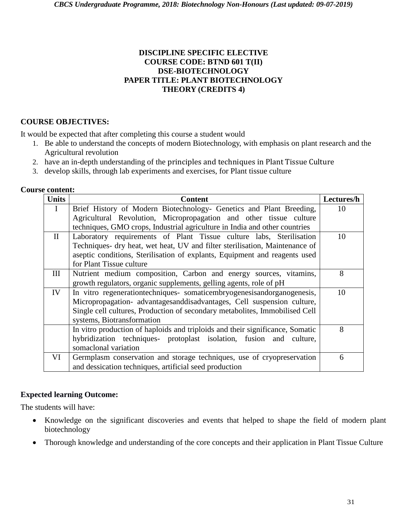#### **DISCIPLINE SPECIFIC ELECTIVE COURSE CODE: BTND 601 T(II) DSE-BIOTECHNOLOGY PAPER TITLE: PLANT BIOTECHNOLOGY THEORY (CREDITS 4)**

#### **COURSE OBJECTIVES:**

It would be expected that after completing this course a student would

- 1. Be able to understand the concepts of modern Biotechnology, with emphasis on plant research and the Agricultural revolution
- 2. have an in-depth understanding of the principles and techniques in Plant Tissue Culture
- 3. develop skills, through lab experiments and exercises, for Plant tissue culture

| <b>Units</b> | <b>Content</b>                                                                | Lectures/h |
|--------------|-------------------------------------------------------------------------------|------------|
| $\bf{I}$     | Brief History of Modern Biotechnology- Genetics and Plant Breeding,           | 10         |
|              | Agricultural Revolution, Micropropagation and other tissue culture            |            |
|              | techniques, GMO crops, Industrial agriculture in India and other countries    |            |
| $\mathbf{I}$ | Laboratory requirements of Plant Tissue culture labs, Sterilisation           | 10         |
|              | Techniques- dry heat, wet heat, UV and filter sterilisation, Maintenance of   |            |
|              | aseptic conditions, Sterilisation of explants, Equipment and reagents used    |            |
|              | for Plant Tissue culture                                                      |            |
| Ш            | Nutrient medium composition, Carbon and energy sources, vitamins,             | 8          |
|              | growth regulators, organic supplements, gelling agents, role of pH            |            |
| IV           | In vitro regenerationtechniques- somaticembryogenesisandorganogenesis,        | 10         |
|              | Micropropagation- advantages and disadvantages, Cell suspension culture,      |            |
|              | Single cell cultures, Production of secondary metabolites, Immobilised Cell   |            |
|              | systems, Biotransformation                                                    |            |
|              | In vitro production of haploids and triploids and their significance, Somatic | 8          |
|              | hybridization techniques- protoplast isolation, fusion and culture,           |            |
|              | somaclonal variation                                                          |            |
| VI           | Germplasm conservation and storage techniques, use of cryopreservation        | 6          |
|              | and dessication techniques, artificial seed production                        |            |

#### **Expected learning Outcome:**

The students will have:

- Knowledge on the significant discoveries and events that helped to shape the field of modern plant biotechnology
- Thorough knowledge and understanding of the core concepts and their application in Plant Tissue Culture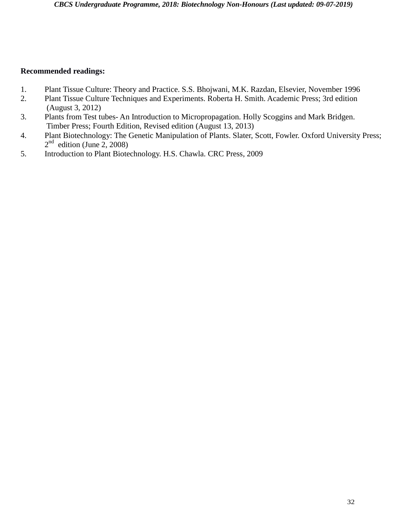- 1. Plant Tissue Culture: Theory and Practice. S.S. Bhojwani, M.K. Razdan, Elsevier, November 1996
- 2. Plant Tissue Culture Techniques and Experiments. Roberta H. Smith. Academic Press; 3rd edition (August 3, 2012)
- 3. Plants from Test tubes- An Introduction to Micropropagation. Holly Scoggins and Mark Bridgen. Timber Press; Fourth Edition, Revised edition (August 13, 2013)
- 4. Plant Biotechnology: The Genetic Manipulation of Plants. Slater, Scott, Fowler. Oxford University Press;  $2<sup>nd</sup>$  edition (June 2, 2008)
- 5. Introduction to Plant Biotechnology. H.S. Chawla. CRC Press, 2009